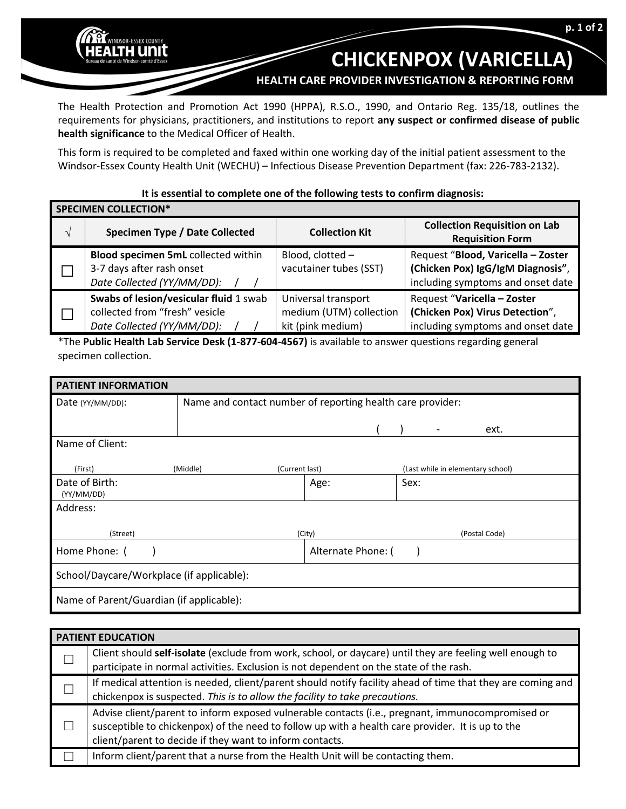## **CHICKENPOX (VARICELLA)**

**HEALTH CARE PROVIDER INVESTIGATION & REPORTING FORM**

The Health Protection and Promotion Act 1990 (HPPA), R.S.O., 1990, and Ontario Reg. 135/18, outlines the requirements for physicians, practitioners, and institutions to report **any suspect or confirmed disease of public health significance** to the Medical Officer of Health.

INDSOR-ESSEX COUNTY 1 unit

This form is required to be completed and faxed within one working day of the initial patient assessment to the Windsor-Essex County Health Unit (WECHU) – Infectious Disease Prevention Department (fax: 226-783-2132).

## **It is essential to complete one of the following tests to confirm diagnosis:**

| <b>SPECIMEN COLLECTION*</b> |                                                                                                        |                                                                     |                                                                                                              |  |  |  |  |
|-----------------------------|--------------------------------------------------------------------------------------------------------|---------------------------------------------------------------------|--------------------------------------------------------------------------------------------------------------|--|--|--|--|
| $\mathcal{N}$               | Specimen Type / Date Collected                                                                         | <b>Collection Kit</b>                                               | <b>Collection Requisition on Lab</b><br><b>Requisition Form</b>                                              |  |  |  |  |
|                             | Blood specimen 5mL collected within<br>3-7 days after rash onset<br>Date Collected (YY/MM/DD):         | Blood, clotted -<br>vacutainer tubes (SST)                          | Request "Blood, Varicella - Zoster<br>(Chicken Pox) IgG/IgM Diagnosis",<br>including symptoms and onset date |  |  |  |  |
|                             | Swabs of lesion/vesicular fluid 1 swab<br>collected from "fresh" vesicle<br>Date Collected (YY/MM/DD): | Universal transport<br>medium (UTM) collection<br>kit (pink medium) | Request "Varicella - Zoster<br>(Chicken Pox) Virus Detection",<br>including symptoms and onset date          |  |  |  |  |

\*The **Public Health Lab Service Desk (1-877-604-4567)** is available to answer questions regarding general specimen collection.

| <b>PATIENT INFORMATION</b>                |                            |                                                            |                    |  |                                   |               |      |  |
|-------------------------------------------|----------------------------|------------------------------------------------------------|--------------------|--|-----------------------------------|---------------|------|--|
| Date (YY/MM/DD):                          |                            | Name and contact number of reporting health care provider: |                    |  |                                   |               |      |  |
|                                           |                            |                                                            |                    |  |                                   |               |      |  |
|                                           |                            |                                                            |                    |  |                                   |               | ext. |  |
| Name of Client:                           |                            |                                                            |                    |  |                                   |               |      |  |
|                                           |                            |                                                            |                    |  |                                   |               |      |  |
| (First)                                   | (Middle)<br>(Current last) |                                                            |                    |  | (Last while in elementary school) |               |      |  |
| Date of Birth:                            |                            |                                                            | Age:               |  | Sex:                              |               |      |  |
| (YY/MM/DD)                                |                            |                                                            |                    |  |                                   |               |      |  |
| Address:                                  |                            |                                                            |                    |  |                                   |               |      |  |
|                                           |                            |                                                            |                    |  |                                   |               |      |  |
| (Street)                                  |                            | (City)                                                     |                    |  |                                   | (Postal Code) |      |  |
| Home Phone: (                             |                            |                                                            | Alternate Phone: ( |  |                                   |               |      |  |
|                                           |                            |                                                            |                    |  |                                   |               |      |  |
| School/Daycare/Workplace (if applicable): |                            |                                                            |                    |  |                                   |               |      |  |
| Name of Parent/Guardian (if applicable):  |                            |                                                            |                    |  |                                   |               |      |  |

| <b>PATIENT EDUCATION</b> |                                                                                                                                                                                                                                                                  |  |  |  |
|--------------------------|------------------------------------------------------------------------------------------------------------------------------------------------------------------------------------------------------------------------------------------------------------------|--|--|--|
|                          | Client should self-isolate (exclude from work, school, or daycare) until they are feeling well enough to<br>participate in normal activities. Exclusion is not dependent on the state of the rash.                                                               |  |  |  |
|                          | If medical attention is needed, client/parent should notify facility ahead of time that they are coming and<br>chickenpox is suspected. This is to allow the facility to take precautions.                                                                       |  |  |  |
|                          | Advise client/parent to inform exposed vulnerable contacts (i.e., pregnant, immunocompromised or<br>susceptible to chickenpox) of the need to follow up with a health care provider. It is up to the<br>client/parent to decide if they want to inform contacts. |  |  |  |
|                          | Inform client/parent that a nurse from the Health Unit will be contacting them.                                                                                                                                                                                  |  |  |  |